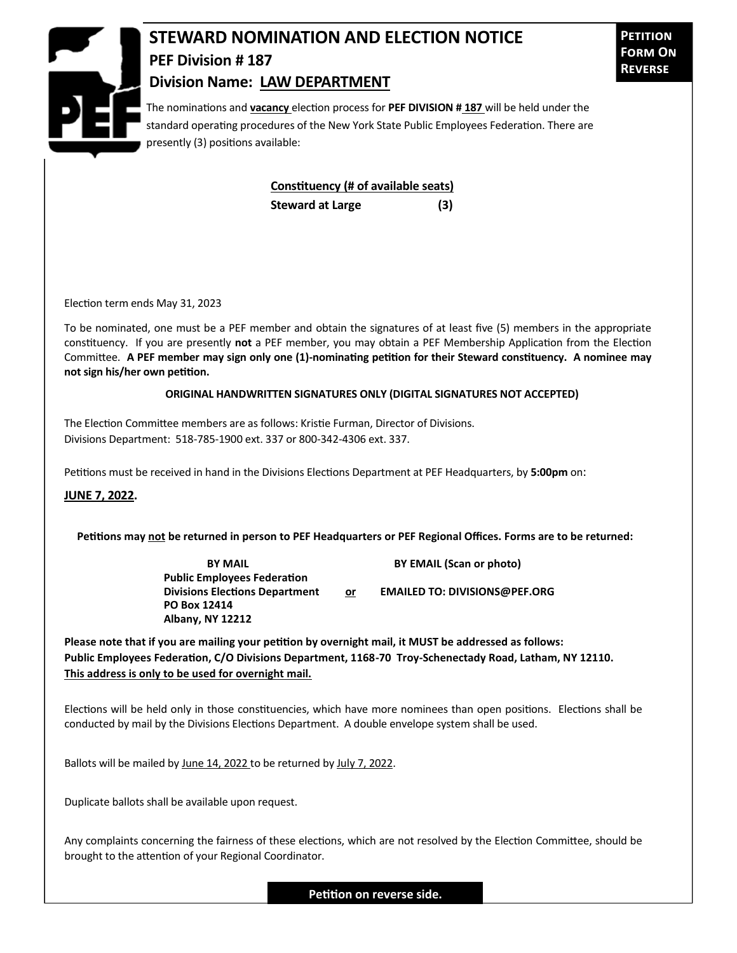

## **STEWARD NOMINATION AND ELECTION NOTICE PEF Division # 187 Division Name: LAW DEPARTMENT**

The nominations and **vacancy** election process for **PEF DIVISION # 187** will be held under the standard operating procedures of the New York State Public Employees Federation. There are presently (3) positions available:

> **Constituency (# of available seats) Steward at Large (3)**

Election term ends May 31, 2023

To be nominated, one must be a PEF member and obtain the signatures of at least five (5) members in the appropriate constituency. If you are presently **not** a PEF member, you may obtain a PEF Membership Application from the Election Committee. **A PEF member may sign only one (1)-nominating petition for their Steward constituency. A nominee may not sign his/her own petition.**

## **ORIGINAL HANDWRITTEN SIGNATURES ONLY (DIGITAL SIGNATURES NOT ACCEPTED)**

The Election Committee members are as follows: Kristie Furman, Director of Divisions. Divisions Department: 518-785-1900 ext. 337 or 800-342-4306 ext. 337.

Petitions must be received in hand in the Divisions Elections Department at PEF Headquarters, by **5:00pm** on:

**JUNE 7, 2022.**

**Petitions may not be returned in person to PEF Headquarters or PEF Regional Offices. Forms are to be returned:**

**Public Employees Federation PO Box 12414 Albany, NY 12212**

**BY MAIL BY EMAIL (Scan or photo)** 

Divisions Elections Department or **EMAILED TO: DIVISIONS@PEF.ORG** 

**Please note that if you are mailing your petition by overnight mail, it MUST be addressed as follows: Public Employees Federation, C/O Divisions Department, 1168-70 Troy-Schenectady Road, Latham, NY 12110. This address is only to be used for overnight mail.**

Elections will be held only in those constituencies, which have more nominees than open positions. Elections shall be conducted by mail by the Divisions Elections Department. A double envelope system shall be used.

Ballots will be mailed by June 14, 2022 to be returned by July 7, 2022.

Duplicate ballots shall be available upon request.

Any complaints concerning the fairness of these elections, which are not resolved by the Election Committee, should be brought to the attention of your Regional Coordinator.

**Petition on reverse side.**